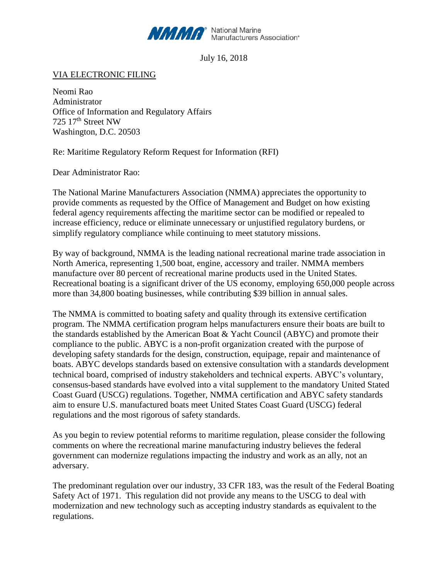

July 16, 2018

VIA ELECTRONIC FILING

Neomi Rao Administrator Office of Information and Regulatory Affairs 725 17th Street NW Washington, D.C. 20503

Re: Maritime Regulatory Reform Request for Information (RFI)

Dear Administrator Rao:

The National Marine Manufacturers Association (NMMA) appreciates the opportunity to provide comments as requested by the Office of Management and Budget on how existing federal agency requirements affecting the maritime sector can be modified or repealed to increase efficiency, reduce or eliminate unnecessary or unjustified regulatory burdens, or simplify regulatory compliance while continuing to meet statutory missions.

By way of background, NMMA is the leading national recreational marine trade association in North America, representing 1,500 boat, engine, accessory and trailer. NMMA members manufacture over 80 percent of recreational marine products used in the United States. Recreational boating is a significant driver of the US economy, employing 650,000 people across more than 34,800 boating businesses, while contributing \$39 billion in annual sales.

The NMMA is committed to boating safety and quality through its extensive certification program. The NMMA certification program helps manufacturers ensure their boats are built to the standards established by the American Boat & Yacht Council (ABYC) and promote their compliance to the public. ABYC is a non-profit organization created with the purpose of developing safety standards for the design, construction, equipage, repair and maintenance of boats. ABYC develops standards based on extensive consultation with a standards development technical board, comprised of industry stakeholders and technical experts. ABYC's voluntary, consensus-based standards have evolved into a vital supplement to the mandatory United Stated Coast Guard (USCG) regulations. Together, NMMA certification and ABYC safety standards aim to ensure U.S. manufactured boats meet United States Coast Guard (USCG) federal regulations and the most rigorous of safety standards.

As you begin to review potential reforms to maritime regulation, please consider the following comments on where the recreational marine manufacturing industry believes the federal government can modernize regulations impacting the industry and work as an ally, not an adversary.

The predominant regulation over our industry, 33 CFR 183, was the result of the Federal Boating Safety Act of 1971. This regulation did not provide any means to the USCG to deal with modernization and new technology such as accepting industry standards as equivalent to the regulations.